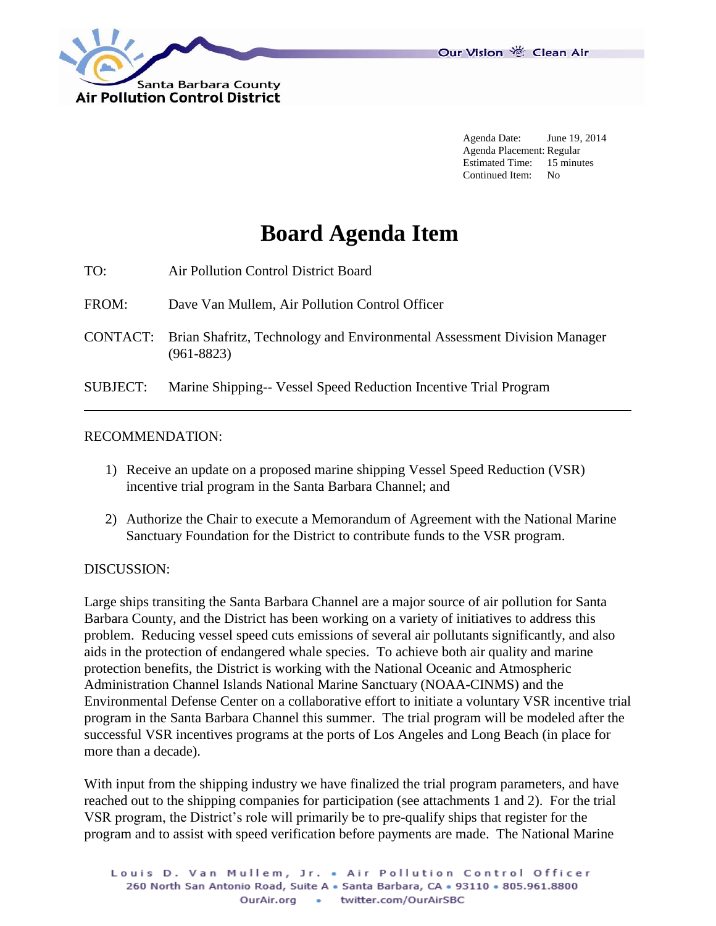

Our Vision 卷 Clean Air

Agenda Date: June 19, 2014 Agenda Placement: Regular Estimated Time: 15 minutes Continued Item: No

## **Board Agenda Item**

- TO: Air Pollution Control District Board
- FROM: Dave Van Mullem, Air Pollution Control Officer
- CONTACT: Brian Shafritz, Technology and Environmental Assessment Division Manager (961-8823)

SUBJECT: Marine Shipping-- Vessel Speed Reduction Incentive Trial Program

## RECOMMENDATION:

- 1) Receive an update on a proposed marine shipping Vessel Speed Reduction (VSR) incentive trial program in the Santa Barbara Channel; and
- 2) Authorize the Chair to execute a Memorandum of Agreement with the National Marine Sanctuary Foundation for the District to contribute funds to the VSR program.

## DISCUSSION:

Large ships transiting the Santa Barbara Channel are a major source of air pollution for Santa Barbara County, and the District has been working on a variety of initiatives to address this problem. Reducing vessel speed cuts emissions of several air pollutants significantly, and also aids in the protection of endangered whale species. To achieve both air quality and marine protection benefits, the District is working with the National Oceanic and Atmospheric Administration Channel Islands National Marine Sanctuary (NOAA-CINMS) and the Environmental Defense Center on a collaborative effort to initiate a voluntary VSR incentive trial program in the Santa Barbara Channel this summer. The trial program will be modeled after the successful VSR incentives programs at the ports of Los Angeles and Long Beach (in place for more than a decade).

With input from the shipping industry we have finalized the trial program parameters, and have reached out to the shipping companies for participation (see attachments 1 and 2). For the trial VSR program, the District's role will primarily be to pre-qualify ships that register for the program and to assist with speed verification before payments are made. The National Marine